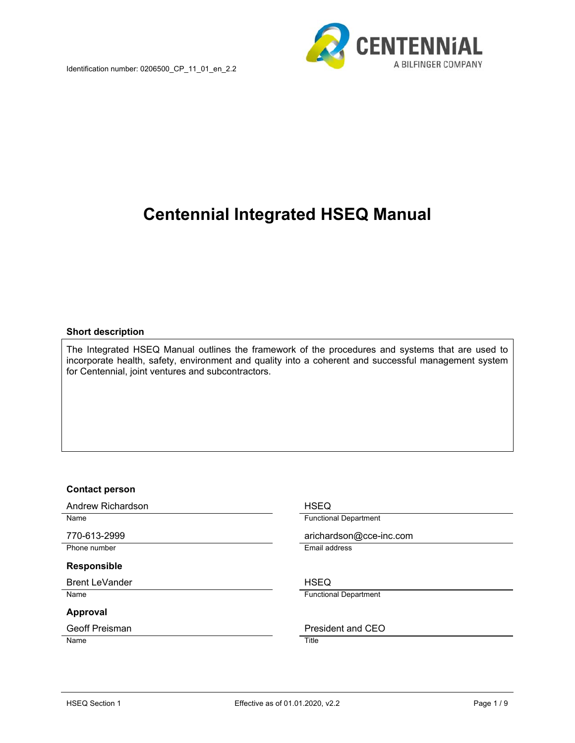

# **Centennial Integrated HSEQ Manual**

#### **Short description**

The Integrated HSEQ Manual outlines the framework of the procedures and systems that are used to incorporate health, safety, environment and quality into a coherent and successful management system for Centennial, joint ventures and subcontractors.

#### **Contact person**

Andrew Richardson **HSEQ** 

Phone number **Email address** 

#### **Responsible**

Brent LeVander North Communication and HSEQ

#### **Approval**

Name Title

Name **Name Functional Department** 

770-613-2999 arichardson@cce-inc.com

Name **Functional Department** 

Geoff Preisman **President and CEO**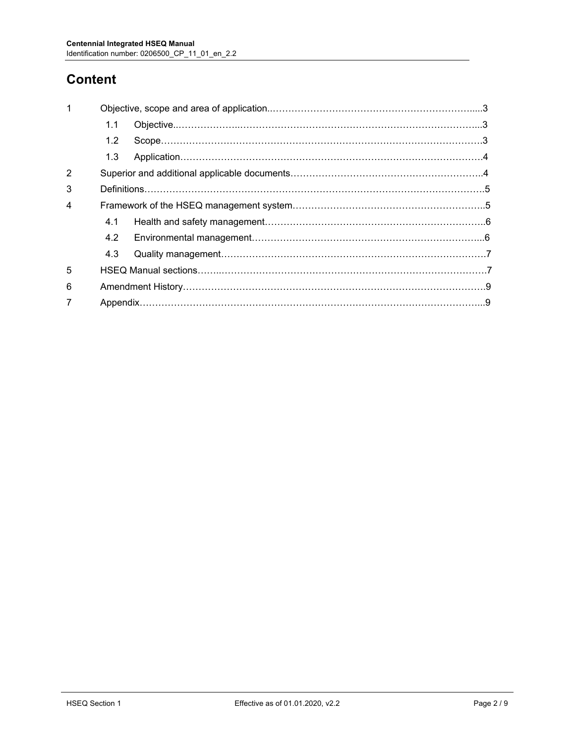# **Content**

| $\mathbf 1$    |                  |  |  |  |  |
|----------------|------------------|--|--|--|--|
|                | 1.1              |  |  |  |  |
|                | 1.2 <sub>2</sub> |  |  |  |  |
|                | 1.3              |  |  |  |  |
| $\overline{2}$ |                  |  |  |  |  |
| 3              |                  |  |  |  |  |
| $\overline{4}$ |                  |  |  |  |  |
|                | 4.1              |  |  |  |  |
|                | 4.2              |  |  |  |  |
|                | 4.3              |  |  |  |  |
| 5              |                  |  |  |  |  |
| 6              |                  |  |  |  |  |
|                |                  |  |  |  |  |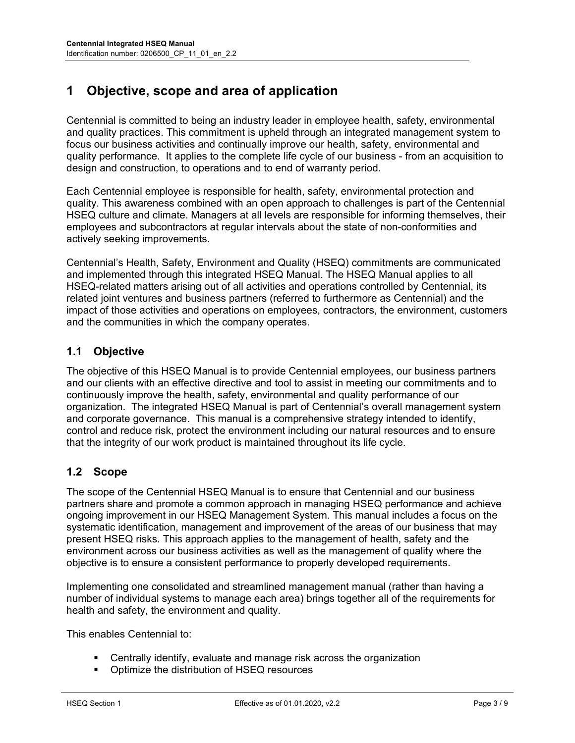# **1 Objective, scope and area of application**

Centennial is committed to being an industry leader in employee health, safety, environmental and quality practices. This commitment is upheld through an integrated management system to focus our business activities and continually improve our health, safety, environmental and quality performance. It applies to the complete life cycle of our business - from an acquisition to design and construction, to operations and to end of warranty period.

Each Centennial employee is responsible for health, safety, environmental protection and quality. This awareness combined with an open approach to challenges is part of the Centennial HSEQ culture and climate. Managers at all levels are responsible for informing themselves, their employees and subcontractors at regular intervals about the state of non-conformities and actively seeking improvements.

Centennial's Health, Safety, Environment and Quality (HSEQ) commitments are communicated and implemented through this integrated HSEQ Manual. The HSEQ Manual applies to all HSEQ-related matters arising out of all activities and operations controlled by Centennial, its related joint ventures and business partners (referred to furthermore as Centennial) and the impact of those activities and operations on employees, contractors, the environment, customers and the communities in which the company operates.

## **1.1 Objective**

The objective of this HSEQ Manual is to provide Centennial employees, our business partners and our clients with an effective directive and tool to assist in meeting our commitments and to continuously improve the health, safety, environmental and quality performance of our organization. The integrated HSEQ Manual is part of Centennial's overall management system and corporate governance. This manual is a comprehensive strategy intended to identify, control and reduce risk, protect the environment including our natural resources and to ensure that the integrity of our work product is maintained throughout its life cycle.

## **1.2 Scope**

The scope of the Centennial HSEQ Manual is to ensure that Centennial and our business partners share and promote a common approach in managing HSEQ performance and achieve ongoing improvement in our HSEQ Management System. This manual includes a focus on the systematic identification, management and improvement of the areas of our business that may present HSEQ risks. This approach applies to the management of health, safety and the environment across our business activities as well as the management of quality where the objective is to ensure a consistent performance to properly developed requirements.

Implementing one consolidated and streamlined management manual (rather than having a number of individual systems to manage each area) brings together all of the requirements for health and safety, the environment and quality.

This enables Centennial to:

- Centrally identify, evaluate and manage risk across the organization
- **•** Optimize the distribution of HSEQ resources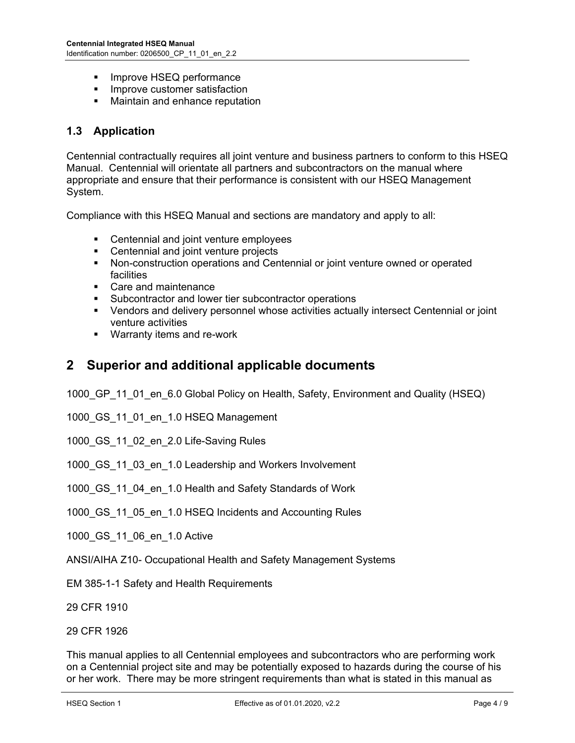- **Improve HSEQ performance**
- **Improve customer satisfaction**
- Maintain and enhance reputation

## **1.3 Application**

Centennial contractually requires all joint venture and business partners to conform to this HSEQ Manual. Centennial will orientate all partners and subcontractors on the manual where appropriate and ensure that their performance is consistent with our HSEQ Management System.

Compliance with this HSEQ Manual and sections are mandatory and apply to all:

- Centennial and joint venture employees
- Centennial and joint venture projects
- Non-construction operations and Centennial or joint venture owned or operated facilities
- Care and maintenance
- **Subcontractor and lower tier subcontractor operations**
- Vendors and delivery personnel whose activities actually intersect Centennial or joint venture activities
- **Warranty items and re-work**

## **2 Superior and additional applicable documents**

1000 GP 11 01 en 6.0 Global Policy on Health, Safety, Environment and Quality (HSEQ)

1000 GS 11 01 en 1.0 HSEQ Management

1000 GS 11 02 en 2.0 Life-Saving Rules

1000 GS 11 03 en 1.0 Leadership and Workers Involvement

1000\_GS\_11\_04\_en\_1.0 Health and Safety Standards of Work

1000 GS 11 05 en 1.0 HSEQ Incidents and Accounting Rules

1000\_GS\_11\_06\_en\_1.0 Active

ANSI/AIHA Z10- Occupational Health and Safety Management Systems

EM 385-1-1 Safety and Health Requirements

29 CFR 1910

29 CFR 1926

This manual applies to all Centennial employees and subcontractors who are performing work on a Centennial project site and may be potentially exposed to hazards during the course of his or her work. There may be more stringent requirements than what is stated in this manual as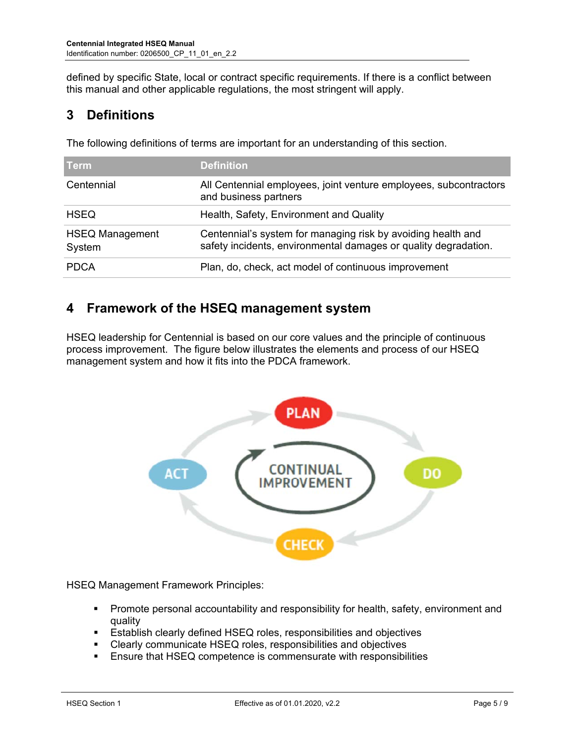defined by specific State, local or contract specific requirements. If there is a conflict between this manual and other applicable regulations, the most stringent will apply.

# **3 Definitions**

The following definitions of terms are important for an understanding of this section.

| Term                             | <b>Definition</b>                                                                                                               |
|----------------------------------|---------------------------------------------------------------------------------------------------------------------------------|
| Centennial                       | All Centennial employees, joint venture employees, subcontractors<br>and business partners                                      |
| <b>HSEQ</b>                      | Health, Safety, Environment and Quality                                                                                         |
| <b>HSEQ Management</b><br>System | Centennial's system for managing risk by avoiding health and<br>safety incidents, environmental damages or quality degradation. |
| <b>PDCA</b>                      | Plan, do, check, act model of continuous improvement                                                                            |

# **4 Framework of the HSEQ management system**

HSEQ leadership for Centennial is based on our core values and the principle of continuous process improvement. The figure below illustrates the elements and process of our HSEQ management system and how it fits into the PDCA framework.



HSEQ Management Framework Principles:

- **Promote personal accountability and responsibility for health, safety, environment and** quality
- **Establish clearly defined HSEQ roles, responsibilities and objectives**
- Clearly communicate HSEQ roles, responsibilities and objectives
- Ensure that HSEQ competence is commensurate with responsibilities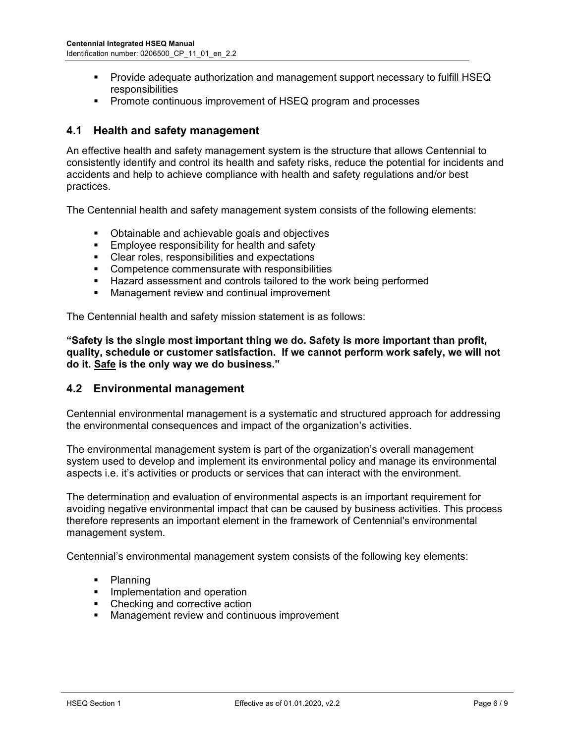- **Provide adequate authorization and management support necessary to fulfill HSEQ** responsibilities
- **Promote continuous improvement of HSEQ program and processes**

## **4.1 Health and safety management**

An effective health and safety management system is the structure that allows Centennial to consistently identify and control its health and safety risks, reduce the potential for incidents and accidents and help to achieve compliance with health and safety regulations and/or best practices.

The Centennial health and safety management system consists of the following elements:

- **D** Obtainable and achievable goals and objectives
- **Employee responsibility for health and safety**
- **Clear roles, responsibilities and expectations**
- **EXECOMPETED COMPETED COMPETER** COMPETED **COMPETED** COMPETED **FOR CONSTRUCTS**
- **Hazard assessment and controls tailored to the work being performed**
- **Management review and continual improvement**

The Centennial health and safety mission statement is as follows:

**"Safety is the single most important thing we do. Safety is more important than profit, quality, schedule or customer satisfaction. If we cannot perform work safely, we will not do it. Safe is the only way we do business."** 

#### **4.2 Environmental management**

Centennial environmental management is a systematic and structured approach for addressing the environmental consequences and impact of the organization's activities.

The environmental management system is part of the organization's overall management system used to develop and implement its environmental policy and manage its environmental aspects i.e. it's activities or products or services that can interact with the environment.

The determination and evaluation of environmental aspects is an important requirement for avoiding negative environmental impact that can be caused by business activities. This process therefore represents an important element in the framework of Centennial's environmental management system.

Centennial's environmental management system consists of the following key elements:

- Planning
- **Implementation and operation**
- Checking and corrective action
- **Management review and continuous improvement**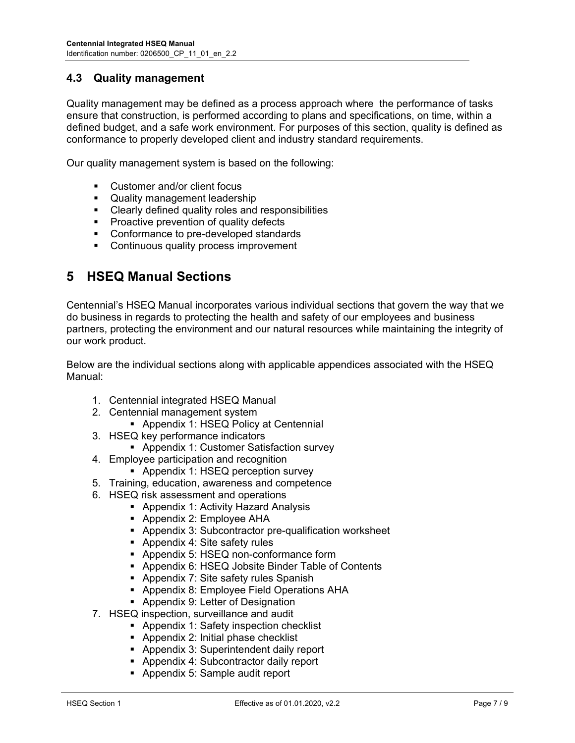## **4.3 Quality management**

Quality management may be defined as a process approach where the performance of tasks ensure that construction, is performed according to plans and specifications, on time, within a defined budget, and a safe work environment. For purposes of this section, quality is defined as conformance to properly developed client and industry standard requirements.

Our quality management system is based on the following:

- Customer and/or client focus
- **Quality management leadership**
- Clearly defined quality roles and responsibilities
- **Proactive prevention of quality defects**
- Conformance to pre-developed standards
- **•** Continuous quality process improvement

## **5 HSEQ Manual Sections**

Centennial's HSEQ Manual incorporates various individual sections that govern the way that we do business in regards to protecting the health and safety of our employees and business partners, protecting the environment and our natural resources while maintaining the integrity of our work product.

Below are the individual sections along with applicable appendices associated with the HSEQ Manual:

- 1. Centennial integrated HSEQ Manual
- 2. Centennial management system
	- **Appendix 1: HSEQ Policy at Centennial**
- 3. HSEQ key performance indicators
	- Appendix 1: Customer Satisfaction survey
- 4. Employee participation and recognition
	- **-** Appendix 1: HSEQ perception survey
- 5. Training, education, awareness and competence
- 6. HSEQ risk assessment and operations
	- **Appendix 1: Activity Hazard Analysis** 
		- **-** Appendix 2: Employee AHA
		- Appendix 3: Subcontractor pre-qualification worksheet
		- **Appendix 4: Site safety rules**
		- Appendix 5: HSEQ non-conformance form
		- Appendix 6: HSEQ Jobsite Binder Table of Contents
		- **Appendix 7: Site safety rules Spanish**
		- **Appendix 8: Employee Field Operations AHA**
	- **Appendix 9: Letter of Designation**
- 7. HSEQ inspection, surveillance and audit
	- **Appendix 1: Safety inspection checklist**
	- **Appendix 2: Initial phase checklist**
	- **Appendix 3: Superintendent daily report**
	- **Appendix 4: Subcontractor daily report**
	- Appendix 5: Sample audit report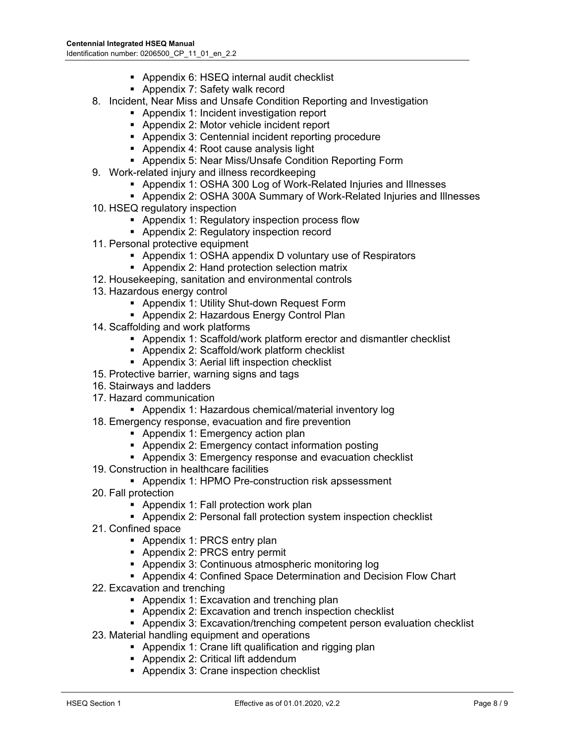- **-** Appendix 6: HSEQ internal audit checklist
- **Appendix 7: Safety walk record**
- 8. Incident, Near Miss and Unsafe Condition Reporting and Investigation
	- Appendix 1: Incident investigation report
	- **Appendix 2: Motor vehicle incident report**
	- Appendix 3: Centennial incident reporting procedure
	- **Appendix 4: Root cause analysis light**
	- Appendix 5: Near Miss/Unsafe Condition Reporting Form
- 9. Work-related injury and illness recordkeeping
	- Appendix 1: OSHA 300 Log of Work-Related Injuries and Illnesses
	- Appendix 2: OSHA 300A Summary of Work-Related Injuries and Illnesses
- 10. HSEQ regulatory inspection
	- **Appendix 1: Regulatory inspection process flow**
	- **Appendix 2: Regulatory inspection record**
- 11. Personal protective equipment
	- Appendix 1: OSHA appendix D voluntary use of Respirators
	- **Appendix 2: Hand protection selection matrix**
- 12. Housekeeping, sanitation and environmental controls
- 13. Hazardous energy control
	- **-** Appendix 1: Utility Shut-down Request Form
	- **Appendix 2: Hazardous Energy Control Plan**
- 14. Scaffolding and work platforms
	- Appendix 1: Scaffold/work platform erector and dismantler checklist
	- Appendix 2: Scaffold/work platform checklist
	- **Appendix 3: Aerial lift inspection checklist**
- 15. Protective barrier, warning signs and tags
- 16. Stairways and ladders
- 17. Hazard communication
	- Appendix 1: Hazardous chemical/material inventory log
- 18. Emergency response, evacuation and fire prevention
	- **Appendix 1: Emergency action plan**
	- **-** Appendix 2: Emergency contact information posting
	- **Appendix 3: Emergency response and evacuation checklist**
- 19. Construction in healthcare facilities
	- Appendix 1: HPMO Pre-construction risk apssessment
- 20. Fall protection
	- **Appendix 1: Fall protection work plan**
	- Appendix 2: Personal fall protection system inspection checklist
- 21. Confined space
	- Appendix 1: PRCS entry plan
	- **Appendix 2: PRCS entry permit**
	- Appendix 3: Continuous atmospheric monitoring log
	- Appendix 4: Confined Space Determination and Decision Flow Chart
- 22. Excavation and trenching
	- **Appendix 1: Excavation and trenching plan**
	- **Appendix 2: Excavation and trench inspection checklist**
	- Appendix 3: Excavation/trenching competent person evaluation checklist
- 23. Material handling equipment and operations
	- **Appendix 1: Crane lift qualification and rigging plan**
	- Appendix 2: Critical lift addendum
	- **Appendix 3: Crane inspection checklist**